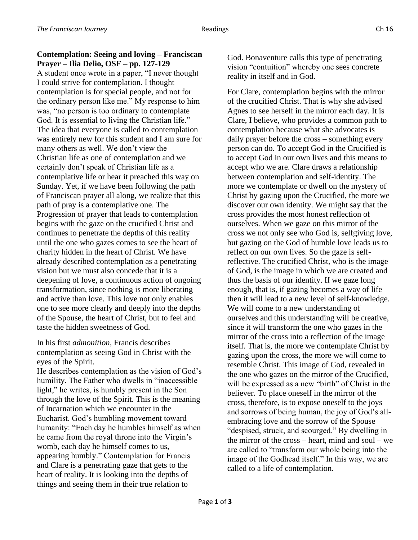## **Contemplation: Seeing and loving – Franciscan Prayer – Ilia Delio, OSF – pp. 127-129**

A student once wrote in a paper, "I never thought I could strive for contemplation. I thought contemplation is for special people, and not for the ordinary person like me." My response to him was, "no person is too ordinary to contemplate God. It is essential to living the Christian life." The idea that everyone is called to contemplation was entirely new for this student and I am sure for many others as well. We don't view the Christian life as one of contemplation and we certainly don't speak of Christian life as a contemplative life or hear it preached this way on Sunday. Yet, if we have been following the path of Franciscan prayer all along, we realize that this path of pray is a contemplative one. The Progression of prayer that leads to contemplation begins with the gaze on the crucified Christ and continues to penetrate the depths of this reality until the one who gazes comes to see the heart of charity hidden in the heart of Christ. We have already described contemplation as a penetrating vision but we must also concede that it is a deepening of love, a continuous action of ongoing transformation, since nothing is more liberating and active than love. This love not only enables one to see more clearly and deeply into the depths of the Spouse, the heart of Christ, but to feel and taste the hidden sweetness of God.

In his first *admonition*, Francis describes contemplation as seeing God in Christ with the eyes of the Spirit.

He describes contemplation as the vision of God's humility. The Father who dwells in "inaccessible light," he writes, is humbly present in the Son through the love of the Spirit. This is the meaning of Incarnation which we encounter in the Eucharist. God's humbling movement toward humanity: "Each day he humbles himself as when he came from the royal throne into the Virgin's womb, each day he himself comes to us, appearing humbly." Contemplation for Francis and Clare is a penetrating gaze that gets to the heart of reality. It is looking into the depths of things and seeing them in their true relation to

God. Bonaventure calls this type of penetrating vision "contuition" whereby one sees concrete reality in itself and in God.

For Clare, contemplation begins with the mirror of the crucified Christ. That is why she advised Agnes to see herself in the mirror each day. It is Clare, I believe, who provides a common path to contemplation because what she advocates is daily prayer before the cross – something every person can do. To accept God in the Crucified is to accept God in our own lives and this means to accept who we are. Clare draws a relationship between contemplation and self-identity. The more we contemplate or dwell on the mystery of Christ by gazing upon the Crucified, the more we discover our own identity. We might say that the cross provides the most honest reflection of ourselves. When we gaze on this mirror of the cross we not only see who God is, selfgiving love, but gazing on the God of humble love leads us to reflect on our own lives. So the gaze is selfreflective. The crucified Christ, who is the image of God, is the image in which we are created and thus the basis of our identity. If we gaze long enough, that is, if gazing becomes a way of life then it will lead to a new level of self-knowledge. We will come to a new understanding of ourselves and this understanding will be creative, since it will transform the one who gazes in the mirror of the cross into a reflection of the image itself. That is, the more we contemplate Christ by gazing upon the cross, the more we will come to resemble Christ. This image of God, revealed in the one who gazes on the mirror of the Crucified, will be expressed as a new "birth" of Christ in the believer. To place oneself in the mirror of the cross, therefore, is to expose oneself to the joys and sorrows of being human, the joy of God's allembracing love and the sorrow of the Spouse "despised, struck, and scourged." By dwelling in the mirror of the cross – heart, mind and soul – we are called to "transform our whole being into the image of the Godhead itself." In this way, we are called to a life of contemplation.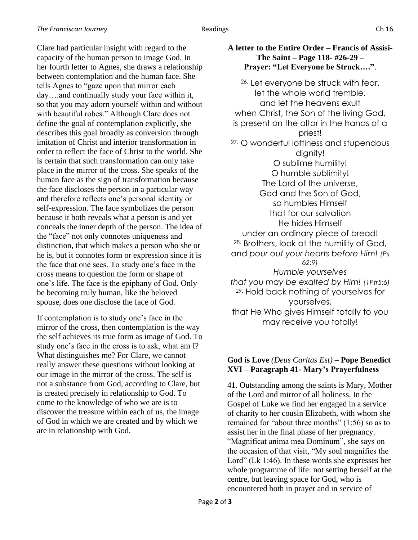Clare had particular insight with regard to the capacity of the human person to image God. In her fourth letter to Agnes, she draws a relationship between contemplation and the human face. She tells Agnes to "gaze upon that mirror each day….and continually study your face within it, so that you may adorn yourself within and without with beautiful robes." Although Clare does not define the goal of contemplation explicitly, she describes this goal broadly as conversion through imitation of Christ and interior transformation in order to reflect the face of Christ to the world. She is certain that such transformation can only take place in the mirror of the cross. She speaks of the human face as the sign of transformation because the face discloses the person in a particular way and therefore reflects one's personal identity or self-expression. The face symbolizes the person because it both reveals what a person is and yet conceals the inner depth of the person. The idea of the "face" not only connotes uniqueness and distinction, that which makes a person who she or he is, but it connotes form or expression since it is the face that one sees. To study one's face in the cross means to question the form or shape of one's life. The face is the epiphany of God. Only be becoming truly human, like the beloved spouse, does one disclose the face of God.

If contemplation is to study one's face in the mirror of the cross, then contemplation is the way the self achieves its true form as image of God. To study one's face in the cross is to ask, what am I? What distinguishes me? For Clare, we cannot really answer these questions without looking at our image in the mirror of the cross. The self is not a substance from God, according to Clare, but is created precisely in relationship to God. To come to the knowledge of who we are is to discover the treasure within each of us, the image of God in which we are created and by which we are in relationship with God.

## **A letter to the Entire Order – Francis of Assisi-The Saint – Page 118- #26-29 – Prayer: "Let Everyone be Struck…."**.

26. Let everyone be struck with fear, let the whole world tremble, and let the heavens exult when Christ, the Son of the living God, is present on the altar in the hands of a priest! 27. O wonderful loftiness and stupendous dignity! O sublime humility! O humble sublimity! The Lord of the universe, God and the Son of God, so humbles Himself that for our salvation He hides Himself under an ordinary piece of bread! 28. Brothers, look at the humility of God, and *pour out your hearts before Him! (Ps 62:9) Humble yourselves that you may be exalted by Him! (1Ptr5:6)* 29. Hold back nothing of yourselves for yourselves, that He Who gives Himself totally to you may receive you totally!

# **God is Love** *(Deus Caritas Est)* **– Pope Benedict XVI – Paragraph 41- Mary's Prayerfulness**

41. Outstanding among the saints is Mary, Mother of the Lord and mirror of all holiness. In the Gospel of Luke we find her engaged in a service of charity to her cousin Elizabeth, with whom she remained for "about three months" (1:56) so as to assist her in the final phase of her pregnancy. "Magnificat anima mea Dominum", she says on the occasion of that visit, "My soul magnifies the Lord" (Lk 1:46). In these words she expresses her whole programme of life: not setting herself at the centre, but leaving space for God, who is encountered both in prayer and in service of